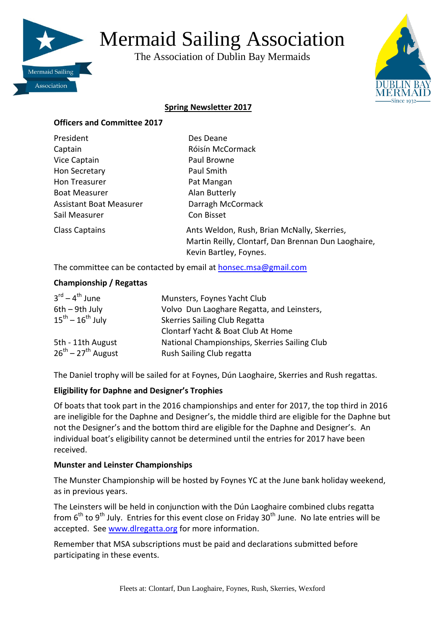

# Mermaid Sailing Association

The Association of Dublin Bay Mermaids



# **Spring Newsletter 2017**

#### **Officers and Committee 2017**

| President               | Des Deane                                                                                                                    |
|-------------------------|------------------------------------------------------------------------------------------------------------------------------|
| Captain                 | Róisín McCormack                                                                                                             |
| Vice Captain            | Paul Browne                                                                                                                  |
| Hon Secretary           | Paul Smith                                                                                                                   |
| Hon Treasurer           | Pat Mangan                                                                                                                   |
| <b>Boat Measurer</b>    | Alan Butterly                                                                                                                |
| Assistant Boat Measurer | Darragh McCormack                                                                                                            |
| Sail Measurer           | Con Bisset                                                                                                                   |
| <b>Class Captains</b>   | Ants Weldon, Rush, Brian McNally, Skerries,<br>Martin Reilly, Clontarf, Dan Brennan Dun Laoghaire,<br>Kevin Bartley, Foynes. |

The committee can be contacted by email a[t honsec.msa@gmail.com](mailto:honsec.msa@gmail.com)

#### **Championship / Regattas**

| $3^{\text{rd}} - 4^{\text{th}}$ June | Munsters, Foynes Yacht Club                   |
|--------------------------------------|-----------------------------------------------|
| $6th - 9th$ July                     | Volvo Dun Laoghare Regatta, and Leinsters,    |
| $15^{th} - 16^{th}$ July             | <b>Skerries Sailing Club Regatta</b>          |
|                                      | Clontarf Yacht & Boat Club At Home            |
| 5th - 11th August                    | National Championships, Skerries Sailing Club |
| $26^{th}$ – $27^{th}$ August         | Rush Sailing Club regatta                     |

The Daniel trophy will be sailed for at Foynes, Dún Laoghaire, Skerries and Rush regattas.

### **Eligibility for Daphne and Designer's Trophies**

Of boats that took part in the 2016 championships and enter for 2017, the top third in 2016 are ineligible for the Daphne and Designer's, the middle third are eligible for the Daphne but not the Designer's and the bottom third are eligible for the Daphne and Designer's. An individual boat's eligibility cannot be determined until the entries for 2017 have been received.

### **Munster and Leinster Championships**

The Munster Championship will be hosted by Foynes YC at the June bank holiday weekend, as in previous years.

The Leinsters will be held in conjunction with the Dún Laoghaire combined clubs regatta from  $6<sup>th</sup>$  to 9<sup>th</sup> July. Entries for this event close on Friday 30<sup>th</sup> June. No late entries will be accepted. See [www.dlregatta.org](http://www.dlregatta.org/) for more information.

Remember that MSA subscriptions must be paid and declarations submitted before participating in these events.